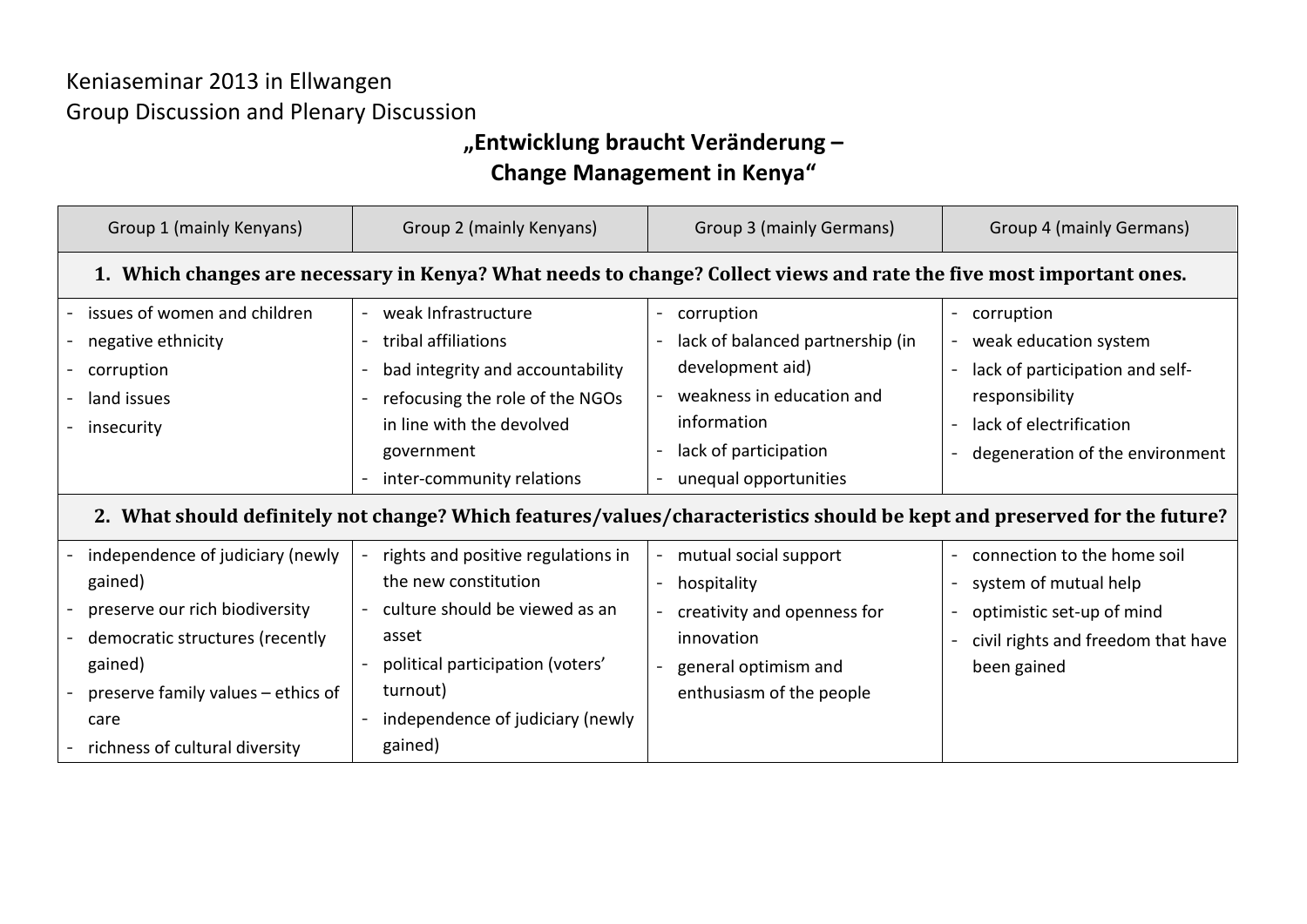## Keniaseminar 2013 in Ellwangen Group Discussion and Plenary Discussion

## **"Entwicklung braucht Veränderung –**

## **Change Management in Kenya"**

| Group 1 (mainly Kenyans)                                                                                                 | Group 2 (mainly Kenyans)                                                                                                                                                                                      | Group 3 (mainly Germans)                                                                                                                                                           | Group 4 (mainly Germans)                                                                                                                               |  |  |  |
|--------------------------------------------------------------------------------------------------------------------------|---------------------------------------------------------------------------------------------------------------------------------------------------------------------------------------------------------------|------------------------------------------------------------------------------------------------------------------------------------------------------------------------------------|--------------------------------------------------------------------------------------------------------------------------------------------------------|--|--|--|
| 1. Which changes are necessary in Kenya? What needs to change? Collect views and rate the five most important ones.      |                                                                                                                                                                                                               |                                                                                                                                                                                    |                                                                                                                                                        |  |  |  |
| issues of women and children<br>negative ethnicity<br>corruption<br>land issues<br>insecurity                            | weak Infrastructure<br>$\sim$<br>tribal affiliations<br>$\sim$<br>bad integrity and accountability<br>refocusing the role of the NGOs<br>in line with the devolved<br>government<br>inter-community relations | corruption<br>$\blacksquare$<br>lack of balanced partnership (in<br>development aid)<br>weakness in education and<br>information<br>lack of participation<br>unequal opportunities | corruption<br>weak education system<br>lack of participation and self-<br>responsibility<br>lack of electrification<br>degeneration of the environment |  |  |  |
| 2. What should definitely not change? Which features/values/characteristics should be kept and preserved for the future? |                                                                                                                                                                                                               |                                                                                                                                                                                    |                                                                                                                                                        |  |  |  |
| independence of judiciary (newly                                                                                         | rights and positive regulations in                                                                                                                                                                            | mutual social support                                                                                                                                                              | connection to the home soil                                                                                                                            |  |  |  |
| gained)                                                                                                                  | the new constitution                                                                                                                                                                                          | hospitality                                                                                                                                                                        | system of mutual help                                                                                                                                  |  |  |  |
| preserve our rich biodiversity                                                                                           | culture should be viewed as an                                                                                                                                                                                | creativity and openness for                                                                                                                                                        | optimistic set-up of mind                                                                                                                              |  |  |  |
| democratic structures (recently                                                                                          | asset                                                                                                                                                                                                         | innovation                                                                                                                                                                         | civil rights and freedom that have                                                                                                                     |  |  |  |
| gained)                                                                                                                  | political participation (voters'                                                                                                                                                                              | general optimism and                                                                                                                                                               | been gained                                                                                                                                            |  |  |  |
| preserve family values – ethics of                                                                                       | turnout)                                                                                                                                                                                                      | enthusiasm of the people                                                                                                                                                           |                                                                                                                                                        |  |  |  |
| care                                                                                                                     | independence of judiciary (newly                                                                                                                                                                              |                                                                                                                                                                                    |                                                                                                                                                        |  |  |  |
| richness of cultural diversity                                                                                           | gained)                                                                                                                                                                                                       |                                                                                                                                                                                    |                                                                                                                                                        |  |  |  |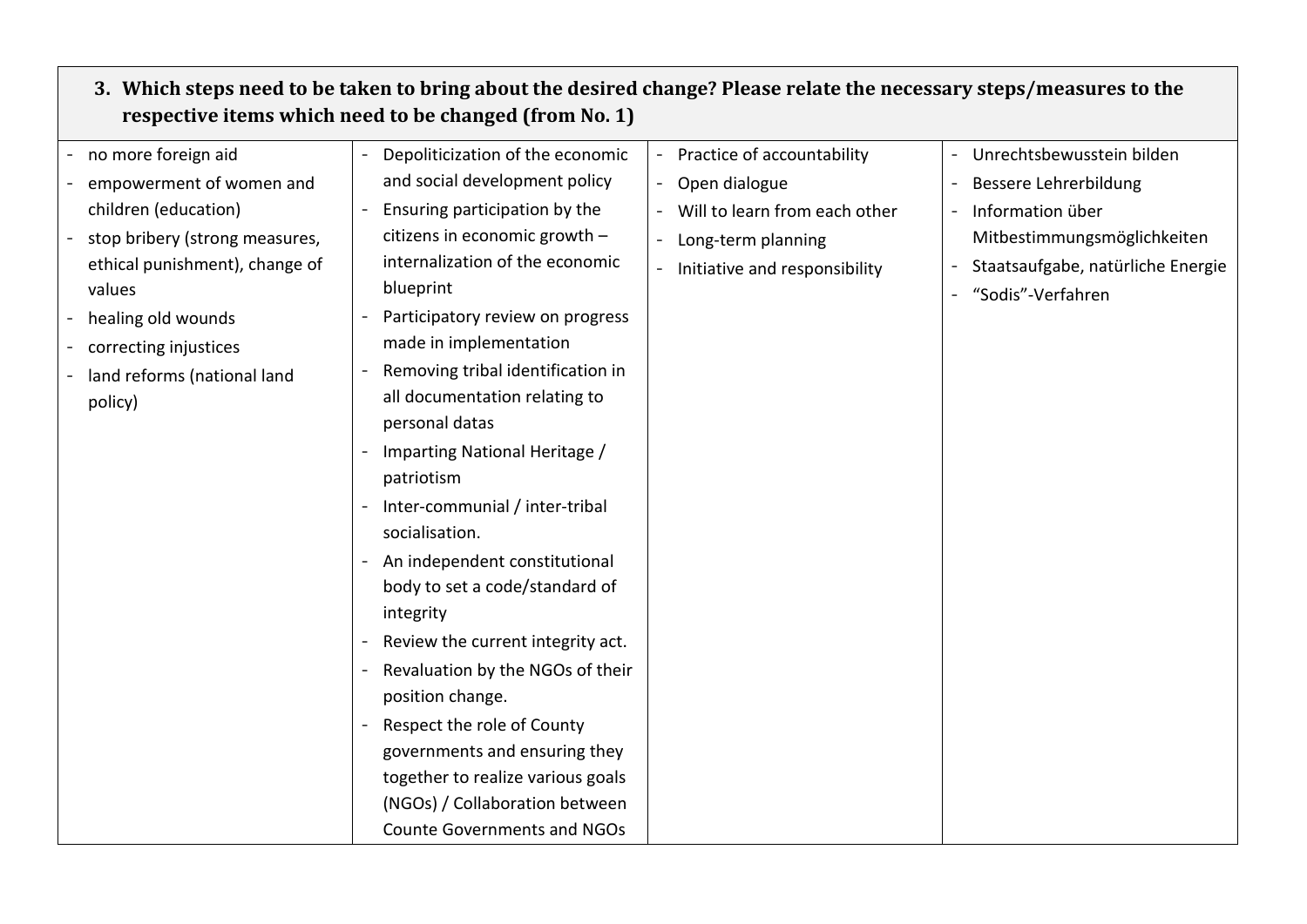## **3. Which steps need to be taken to bring about the desired change? Please relate the necessary steps/measures to the respective items which need to be changed (from No. 1)**

| no more foreign aid            | Depoliticization of the economic                 | Practice of accountability    | Unrechtsbewusstein bilden         |
|--------------------------------|--------------------------------------------------|-------------------------------|-----------------------------------|
| empowerment of women and       | and social development policy                    | Open dialogue                 | Bessere Lehrerbildung             |
| children (education)           | Ensuring participation by the                    | Will to learn from each other | Information über                  |
| stop bribery (strong measures, | citizens in economic growth -                    | Long-term planning            | Mitbestimmungsmöglichkeiten       |
| ethical punishment), change of | internalization of the economic                  | Initiative and responsibility | Staatsaufgabe, natürliche Energie |
| values                         | blueprint                                        |                               | "Sodis"-Verfahren                 |
| healing old wounds             | Participatory review on progress                 |                               |                                   |
| correcting injustices          | made in implementation                           |                               |                                   |
| land reforms (national land    | Removing tribal identification in                |                               |                                   |
| policy)                        | all documentation relating to                    |                               |                                   |
|                                | personal datas                                   |                               |                                   |
|                                | Imparting National Heritage /                    |                               |                                   |
|                                | patriotism                                       |                               |                                   |
|                                | Inter-communial / inter-tribal<br>socialisation. |                               |                                   |
|                                | An independent constitutional                    |                               |                                   |
|                                | body to set a code/standard of                   |                               |                                   |
|                                | integrity                                        |                               |                                   |
|                                | Review the current integrity act.                |                               |                                   |
|                                | Revaluation by the NGOs of their                 |                               |                                   |
|                                | position change.                                 |                               |                                   |
|                                | Respect the role of County                       |                               |                                   |
|                                | governments and ensuring they                    |                               |                                   |
|                                | together to realize various goals                |                               |                                   |
|                                | (NGOs) / Collaboration between                   |                               |                                   |
|                                | <b>Counte Governments and NGOs</b>               |                               |                                   |